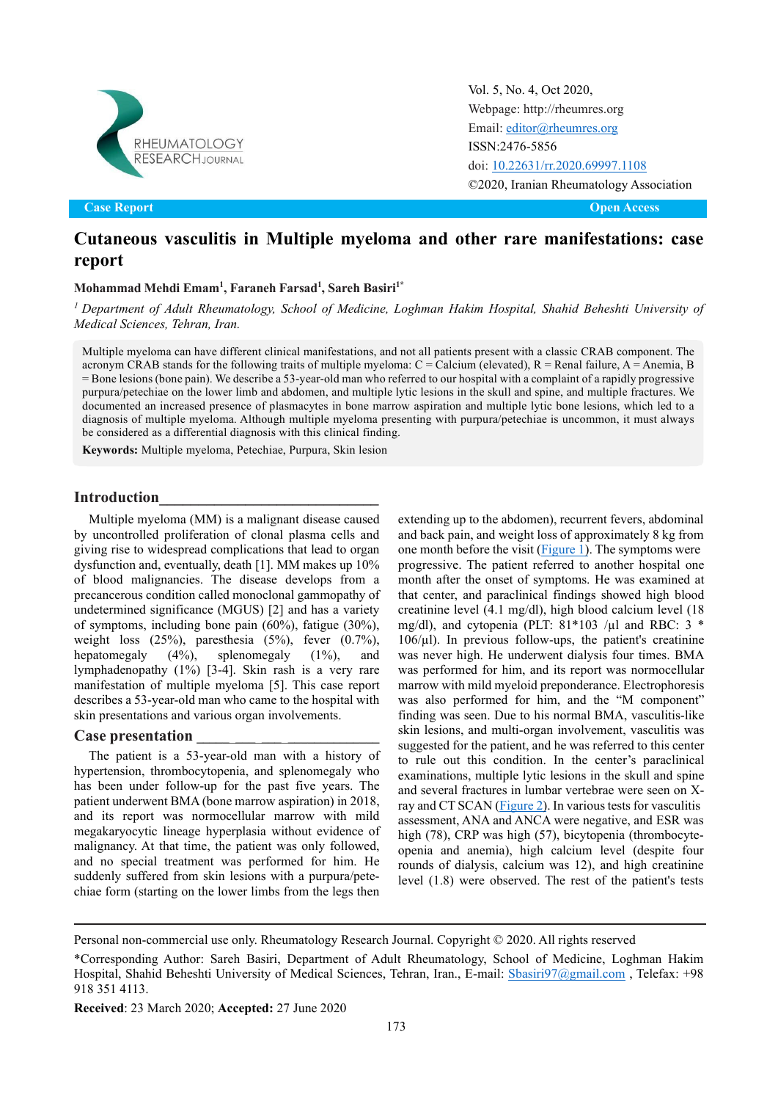

Original Article Open Access **Case Report Open Access**

Vol. 5, No. 4, Oct 2020, [Webpage: http://rheumres.org](http://rheumres.org/) Email[: editor@rheumres.org](mailto:editor@rheumres.org) ISSN:2476-5856 doi[: 10.22631/rr.2020.69997.1108](http://dx.doi.org/10.22631/rr.2017.69997.1021) ©2020, Iranian Rheumatology Association

# **Cutaneous vasculitis in Multiple myeloma and other rare manifestations: case report**

### **Mohammad Mehdi Emam1 , Faraneh Farsad1 , Sareh Basiri1\***

*<sup>1</sup> Department of Adult Rheumatology, School of Medicine, Loghman Hakim Hospital, Shahid Beheshti University of Medical Sciences, Tehran, Iran.*

Multiple myeloma can have different clinical manifestations, and not all patients present with a classic CRAB component. The acronym CRAB stands for the following traits of multiple myeloma:  $C =$  Calcium (elevated),  $R =$  Renal failure,  $A =$  Anemia, B = Bone lesions (bone pain). We describe a 53-year-old man who referred to our hospital with a complaint of a rapidly progressive purpura/petechiae on the lower limb and abdomen, and multiple lytic lesions in the skull and spine, and multiple fractures. We documented an increased presence of plasmacytes in bone marrow aspiration and multiple lytic bone lesions, which led to a diagnosis of multiple myeloma. Although multiple myeloma presenting with purpura/petechiae is uncommon, it must always be considered as a differential diagnosis with this clinical finding.

**Keywords:** Multiple myeloma, Petechiae, Purpura, Skin lesion

#### **Introduction\_\_\_\_\_\_\_\_\_\_\_\_\_\_\_\_\_\_\_\_\_\_\_\_\_\_\_\_**

Multiple myeloma (MM) is a malignant disease caused by uncontrolled proliferation of clonal plasma cells and giving rise to widespread complications that lead to organ dysfunction and, eventually, death [1]. MM makes up 10% of blood malignancies. The disease develops from a precancerous condition called monoclonal gammopathy of undetermined significance (MGUS) [2] and has a variety of symptoms, including bone pain (60%), fatigue (30%), weight loss  $(25\%)$ , paresthesia  $(5\%)$ , fever  $(0.7\%)$ ,<br>hepatomegaly  $(4\%)$ , splenomegaly  $(1\%)$ , and hepatomegaly (4%), splenomegaly (1%), and lymphadenopathy (1%) [3-4]. Skin rash is a very rare manifestation of multiple myeloma [5]. This case report describes a 53-year-old man who came to the hospital with skin presentations and various organ involvements.

#### **Case presentation \_\_\_\_\_**\_**\_\_\_**\_**\_\_\_**\_**\_\_\_\_\_\_\_\_\_\_\_\_\_\_**

The patient is a 53-year-old man with a history of hypertension, thrombocytopenia, and splenomegaly who has been under follow-up for the past five years. The patient underwent BMA (bone marrow aspiration) in 2018, and its report was normocellular marrow with mild megakaryocytic lineage hyperplasia without evidence of malignancy. At that time, the patient was only followed, and no special treatment was performed for him. He suddenly suffered from skin lesions with a purpura/petechiae form (starting on the lower limbs from the legs then

extending up to the abdomen), recurrent fevers, abdominal and back pain, and weight loss of approximately 8 kg from one month before the visit  $(Figure 1)$ . The symptoms were progressive. The patient referred to another hospital one month after the onset of symptoms. He was examined at that center, and paraclinical findings showed high blood creatinine level (4.1 mg/dl), high blood calcium level (18 mg/dl), and cytopenia (PLT: 81\*103 /µl and RBC: 3 \* 106/µl). In previous follow-ups, the patient's creatinine was never high. He underwent dialysis four times. BMA was performed for him, and its report was normocellular marrow with mild myeloid preponderance. Electrophoresis was also performed for him, and the "M component" finding was seen. Due to his normal BMA, vasculitis-like skin lesions, and multi-organ involvement, vasculitis was suggested for the patient, and he was referred to this center to rule out this condition. In the center's paraclinical examinations, multiple lytic lesions in the skull and spine and several fractures in lumbar vertebrae were seen on X-ray and CT SCAN [\(Figure 2\).](#page-1-1) In various tests for vasculitis assessment, ANA and ANCA were negative, and ESR was high (78), CRP was high (57), bicytopenia (thrombocyteopenia and anemia), high calcium level (despite four rounds of dialysis, calcium was 12), and high creatinine level (1.8) were observed. The rest of the patient's tests

Personal non-commercial use only. Rheumatology Research Journal. Copyright © 2020. All rights reserved

<sup>\*</sup>Corresponding Author: Sareh Basiri, Department of Adult Rheumatology, School of Medicine, Loghman Hakim Hospital, Shahid Beheshti University of Medical Sciences, Tehran, Iran., E-mail: Shasiri97@gmail.com, Telefax: +98 918 351 4113.

**Received**: 23 March 2020; **Accepted:** 27 June 2020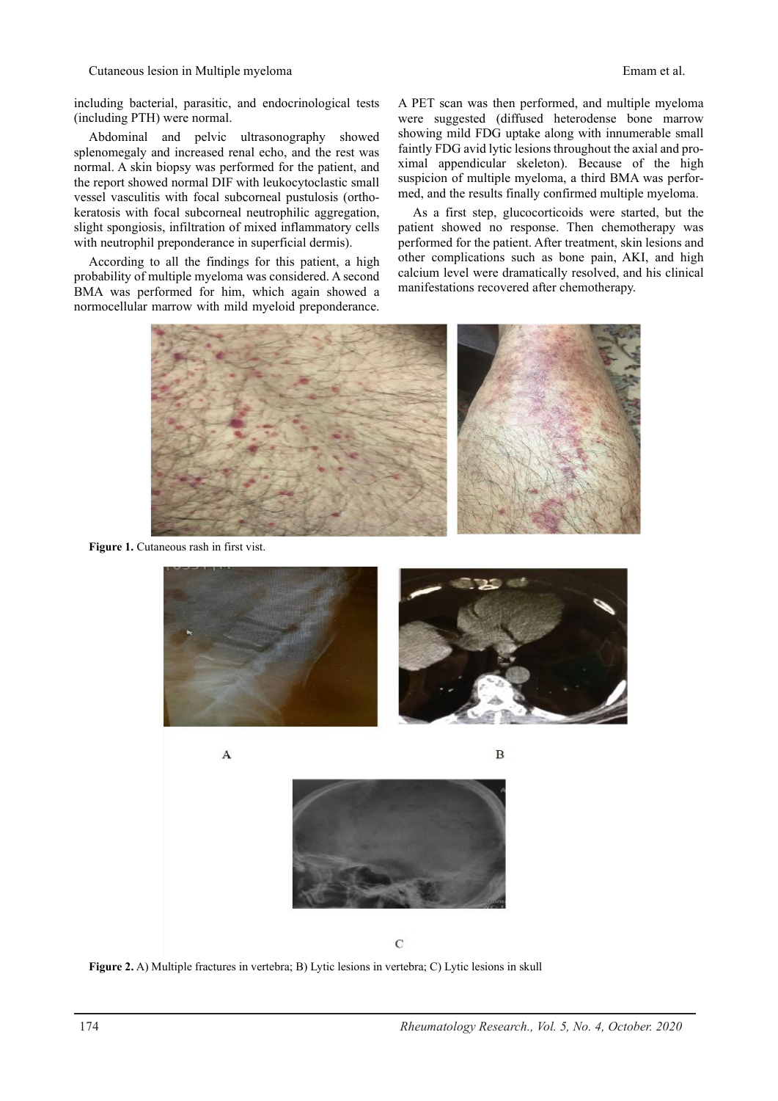Cutaneous lesion in Multiple myeloma Emam et al.

including bacterial, parasitic, and endocrinological tests (including PTH) were normal.

Abdominal and pelvic ultrasonography showed splenomegaly and increased renal echo, and the rest was normal. A skin biopsy was performed for the patient, and the report showed normal DIF with leukocytoclastic small vessel vasculitis with focal subcorneal pustulosis (orthokeratosis with focal subcorneal neutrophilic aggregation, slight spongiosis, infiltration of mixed inflammatory cells with neutrophil preponderance in superficial dermis).

According to all the findings for this patient, a high probability of multiple myeloma was considered. A second BMA was performed for him, which again showed a normocellular marrow with mild myeloid preponderance. A PET scan was then performed, and multiple myeloma were suggested (diffused heterodense bone marrow showing mild FDG uptake along with innumerable small faintly FDG avid lytic lesions throughout the axial and proximal appendicular skeleton). Because of the high suspicion of multiple myeloma, a third BMA was performed, and the results finally confirmed multiple myeloma.

As a first step, glucocorticoids were started, but the patient showed no response. Then chemotherapy was performed for the patient. After treatment, skin lesions and other complications such as bone pain, AKI, and high calcium level were dramatically resolved, and his clinical manifestations recovered after chemotherapy.



Figure 1. Cutaneous rash in first vist.

<span id="page-1-0"></span>

<span id="page-1-1"></span> $\overline{C}$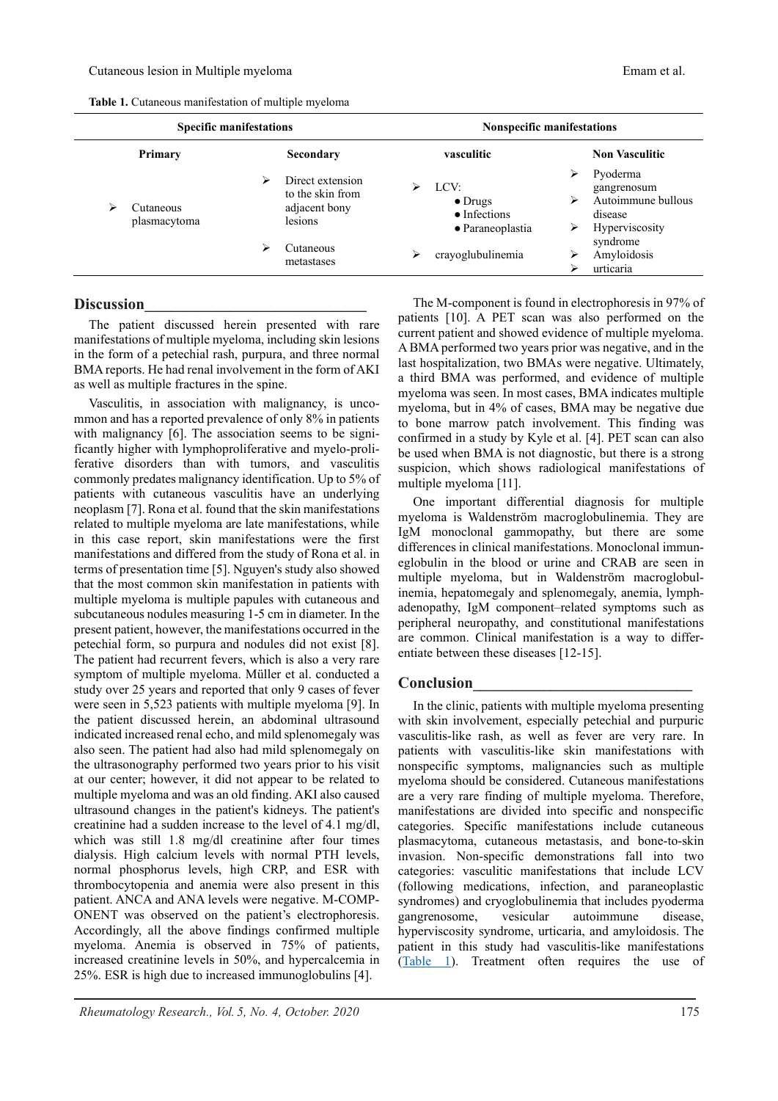**Table 1.** Cutaneous manifestation of multiple myeloma

<span id="page-2-0"></span>

| <b>Specific manifestations</b> |                           |   |                                                                  | <b>Nonspecific manifestations</b> |                                                                     |                       |                                                                            |
|--------------------------------|---------------------------|---|------------------------------------------------------------------|-----------------------------------|---------------------------------------------------------------------|-----------------------|----------------------------------------------------------------------------|
|                                | Primary                   |   | Secondary                                                        | vasculitic                        |                                                                     | <b>Non Vasculitic</b> |                                                                            |
| ⋗                              | Cutaneous<br>plasmacytoma | ⋗ | Direct extension<br>to the skin from<br>adjacent bony<br>lesions | ⋗                                 | LCV:<br>$\bullet$ Drugs<br>$\bullet$ Infections<br>• Paraneoplastia | ⋗<br>⋗<br>⋗           | Pyoderma<br>gangrenosum<br>Autoimmune bullous<br>disease<br>Hyperviscosity |
|                                |                           | ↘ | Cutaneous<br>metastases                                          | ⋗                                 | crayoglubulinemia                                                   |                       | syndrome<br>Amyloidosis<br>urticaria                                       |

#### **Discussion\_\_\_\_\_\_\_\_\_\_\_\_\_\_\_\_\_\_\_\_\_\_\_\_\_\_\_\_\_\_\_\_\_\_**

The patient discussed herein presented with rare manifestations of multiple myeloma, including skin lesions in the form of a petechial rash, purpura, and three normal BMA reports. He had renal involvement in the form of AKI as well as multiple fractures in the spine.

Vasculitis, in association with malignancy, is uncommon and has a reported prevalence of only 8% in patients with malignancy [6]. The association seems to be significantly higher with lymphoproliferative and myelo-proliferative disorders than with tumors, and vasculitis commonly predates malignancy identification. Up to 5% of patients with cutaneous vasculitis have an underlying neoplasm [7]. Rona et al. found that the skin manifestations related to multiple myeloma are late manifestations, while in this case report, skin manifestations were the first manifestations and differed from the study of Rona et al. in terms of presentation time [5]. Nguyen's study also showed that the most common skin manifestation in patients with multiple myeloma is multiple papules with cutaneous and subcutaneous nodules measuring 1-5 cm in diameter. In the present patient, however, the manifestations occurred in the petechial form, so purpura and nodules did not exist [8]. The patient had recurrent fevers, which is also a very rare symptom of multiple myeloma. Müller et al. conducted a study over 25 years and reported that only 9 cases of fever were seen in 5,523 patients with multiple myeloma [9]. In the patient discussed herein, an abdominal ultrasound indicated increased renal echo, and mild splenomegaly was also seen. The patient had also had mild splenomegaly on the ultrasonography performed two years prior to his visit at our center; however, it did not appear to be related to multiple myeloma and was an old finding. AKI also caused ultrasound changes in the patient's kidneys. The patient's creatinine had a sudden increase to the level of 4.1 mg/dl, which was still 1.8 mg/dl creatinine after four times dialysis. High calcium levels with normal PTH levels, normal phosphorus levels, high CRP, and ESR with thrombocytopenia and anemia were also present in this patient. ANCA and ANA levels were negative. M-COMP-ONENT was observed on the patient's electrophoresis. Accordingly, all the above findings confirmed multiple myeloma. Anemia is observed in 75% of patients, increased creatinine levels in 50%, and hypercalcemia in 25%. ESR is high due to increased immunoglobulins [4].

The M-component is found in electrophoresis in 97% of patients [10]. A PET scan was also performed on the current patient and showed evidence of multiple myeloma. A BMA performed two years prior was negative, and in the last hospitalization, two BMAs were negative. Ultimately, a third BMA was performed, and evidence of multiple myeloma was seen. In most cases, BMA indicates multiple myeloma, but in 4% of cases, BMA may be negative due to bone marrow patch involvement. This finding was confirmed in a study by Kyle et al. [4]. PET scan can also be used when BMA is not diagnostic, but there is a strong suspicion, which shows radiological manifestations of multiple myeloma [11].

One important differential diagnosis for multiple myeloma is Waldenström macroglobulinemia. They are IgM monoclonal gammopathy, but there are some differences in clinical manifestations. Monoclonal immuneglobulin in the blood or urine and CRAB are seen in multiple myeloma, but in Waldenström macroglobulinemia, hepatomegaly and splenomegaly, anemia, lymphadenopathy, IgM component–related symptoms such as peripheral neuropathy, and constitutional manifestations are common. Clinical manifestation is a way to differentiate between these diseases [12-15].

### **Conclusion\_\_\_\_\_\_\_\_\_\_\_\_\_\_\_\_\_\_\_\_\_\_\_\_\_\_\_\_**

In the clinic, patients with multiple myeloma presenting with skin involvement, especially petechial and purpuric vasculitis-like rash, as well as fever are very rare. In patients with vasculitis-like skin manifestations with nonspecific symptoms, malignancies such as multiple myeloma should be considered. Cutaneous manifestations are a very rare finding of multiple myeloma. Therefore, manifestations are divided into specific and nonspecific categories. Specific manifestations include cutaneous plasmacytoma, cutaneous metastasis, and bone-to-skin invasion. Non-specific demonstrations fall into two categories: vasculitic manifestations that include LCV (following medications, infection, and paraneoplastic syndromes) and cryoglobulinemia that includes pyoderma gangrenosome, vesicular autoimmune disease, hyperviscosity syndrome, urticaria, and amyloidosis. The patient in this study had vasculitis-like manifestations [\(Table 1\)](#page-2-0). Treatment often requires the use of